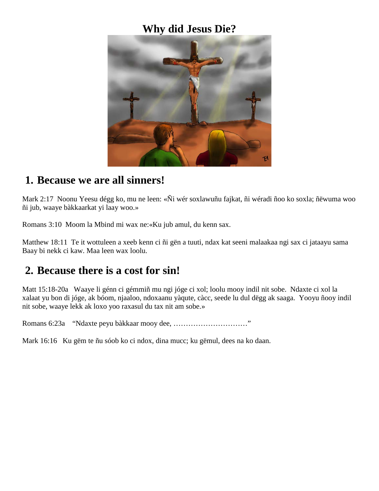### **Why did Jesus Die?**



#### **1. Because we are all sinners!**

Mark 2:17 Noonu Yeesu dégg ko, mu ne leen: «Ñi wér soxlawuñu fajkat, ñi wéradi ñoo ko soxla; ñëwuma woo ñi jub, waaye bàkkaarkat yi laay woo.»

Romans 3:10 Moom la Mbind mi wax ne:«Ku jub amul, du kenn sax.

Matthew 18:11 Te it wottuleen a xeeb kenn ci ñi gën a tuuti, ndax kat seeni malaakaa ngi sax ci jataayu sama Baay bi nekk ci kaw. Maa leen wax loolu.

### **2. Because there is a cost for sin!**

Matt 15:18-20a Waaye li génn ci gémmiñ mu ngi jóge ci xol; loolu mooy indil nit sobe. Ndaxte ci xol la xalaat yu bon di jóge, ak bóom, njaaloo, ndoxaanu yàqute, càcc, seede lu dul dëgg ak saaga. Yooyu ñooy indil nit sobe, waaye lekk ak loxo yoo raxasul du tax nit am sobe.»

Romans 6:23a "Ndaxte peyu bàkkaar mooy dee, …………………………"

Mark 16:16 Ku gëm te ñu sóob ko ci ndox, dina mucc; ku gëmul, dees na ko daan.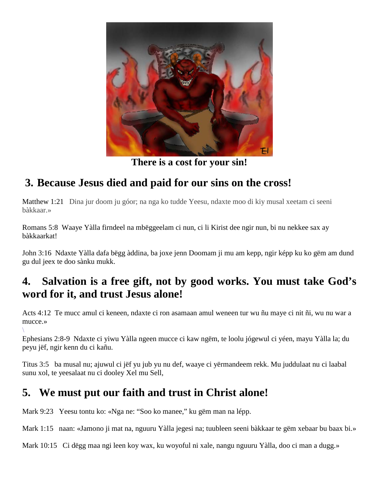

**There is a cost for your sin!**

# **3. Because Jesus died and paid for our sins on the cross!**

Matthew 1:21 Dina jur doom ju góor; na nga ko tudde Yeesu, ndaxte moo di kiy musal xeetam ci seeni bàkkaar.»

Romans 5:8 Waaye Yàlla firndeel na mbëggeelam ci nun, ci li Kirist dee ngir nun, bi nu nekkee sax ay bàkkaarkat!

John 3:16 Ndaxte Yàlla dafa bëgg àddina, ba joxe jenn Doomam ji mu am kepp, ngir képp ku ko gëm am dund gu dul jeex te doo sànku mukk.

### **4. Salvation is a free gift, not by good works. You must take God's word for it, and trust Jesus alone!**

Acts 4:12 Te mucc amul ci keneen, ndaxte ci ron asamaan amul weneen tur wu ñu maye ci nit ñi, wu nu war a mucce.»

 $\setminus$ Ephesians 2:8-9 Ndaxte ci yiwu Yàlla ngeen mucce ci kaw ngëm, te loolu jógewul ci yéen, mayu Yàlla la; du peyu jëf, ngir kenn du ci kañu.

Titus 3:5 ba musal nu; ajuwul ci jëf yu jub yu nu def, waaye ci yërmandeem rekk. Mu juddulaat nu ci laabal sunu xol, te yeesalaat nu ci dooley Xel mu Sell,

## **5. We must put our faith and trust in Christ alone!**

Mark 9:23 Yeesu tontu ko: «Nga ne: "Soo ko manee," ku gëm man na lépp.

Mark 1:15 naan: «Jamono ji mat na, nguuru Yàlla jegesi na; tuubleen seeni bàkkaar te gëm xebaar bu baax bi.»

Mark 10:15 Ci dëgg maa ngi leen koy wax, ku woyoful ni xale, nangu nguuru Yàlla, doo ci man a dugg.»